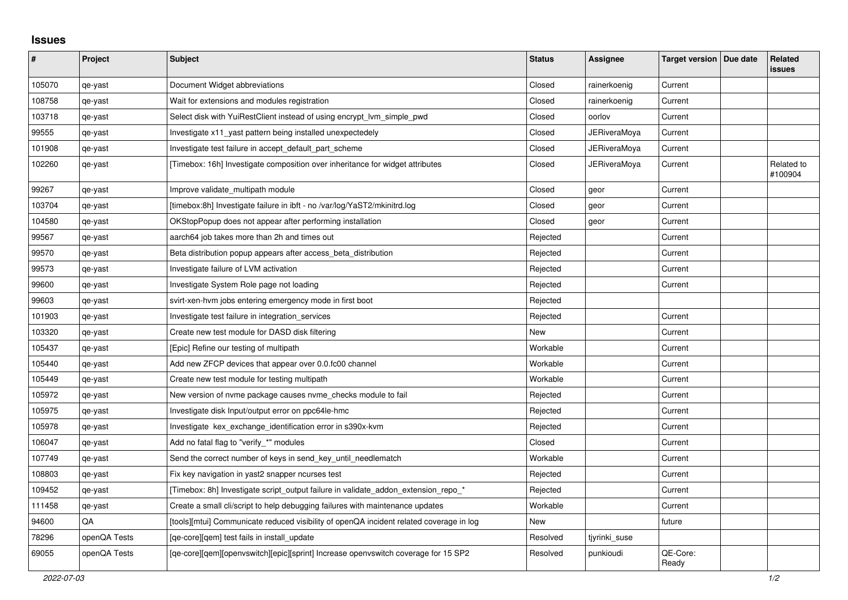## **Issues**

| #      | Project      | <b>Subject</b>                                                                          | <b>Status</b> | Assignee            | Target version   Due date | Related<br><b>issues</b> |
|--------|--------------|-----------------------------------------------------------------------------------------|---------------|---------------------|---------------------------|--------------------------|
| 105070 | qe-yast      | Document Widget abbreviations                                                           | Closed        | rainerkoenig        | Current                   |                          |
| 108758 | qe-yast      | Wait for extensions and modules registration                                            | Closed        | rainerkoenig        | Current                   |                          |
| 103718 | qe-yast      | Select disk with YuiRestClient instead of using encrypt Ivm simple pwd                  | Closed        | oorlov              | Current                   |                          |
| 99555  | qe-yast      | Investigate x11_yast pattern being installed unexpectedely                              | Closed        | <b>JERiveraMoya</b> | Current                   |                          |
| 101908 | qe-yast      | Investigate test failure in accept default part scheme                                  | Closed        | JERiveraMoya        | Current                   |                          |
| 102260 | qe-yast      | [Timebox: 16h] Investigate composition over inheritance for widget attributes           | Closed        | <b>JERiveraMova</b> | Current                   | Related to<br>#100904    |
| 99267  | qe-yast      | Improve validate_multipath module                                                       | Closed        | geor                | Current                   |                          |
| 103704 | qe-yast      | [timebox:8h] Investigate failure in ibft - no /var/log/YaST2/mkinitrd.log               | Closed        | geor                | Current                   |                          |
| 104580 | qe-yast      | OKStopPopup does not appear after performing installation                               | Closed        | geor                | Current                   |                          |
| 99567  | qe-yast      | aarch64 job takes more than 2h and times out                                            | Rejected      |                     | Current                   |                          |
| 99570  | qe-yast      | Beta distribution popup appears after access_beta_distribution                          | Rejected      |                     | Current                   |                          |
| 99573  | qe-yast      | Investigate failure of LVM activation                                                   | Rejected      |                     | Current                   |                          |
| 99600  | qe-yast      | Investigate System Role page not loading                                                | Rejected      |                     | Current                   |                          |
| 99603  | qe-yast      | svirt-xen-hvm jobs entering emergency mode in first boot                                | Rejected      |                     |                           |                          |
| 101903 | qe-yast      | Investigate test failure in integration_services                                        | Rejected      |                     | Current                   |                          |
| 103320 | qe-yast      | Create new test module for DASD disk filtering                                          | New           |                     | Current                   |                          |
| 105437 | qe-yast      | [Epic] Refine our testing of multipath                                                  | Workable      |                     | Current                   |                          |
| 105440 | qe-yast      | Add new ZFCP devices that appear over 0.0.fc00 channel                                  | Workable      |                     | Current                   |                          |
| 105449 | qe-yast      | Create new test module for testing multipath                                            | Workable      |                     | Current                   |                          |
| 105972 | qe-yast      | New version of nvme package causes nvme_checks module to fail                           | Rejected      |                     | Current                   |                          |
| 105975 | qe-yast      | Investigate disk Input/output error on ppc64le-hmc                                      | Rejected      |                     | Current                   |                          |
| 105978 | qe-yast      | Investigate kex_exchange_identification error in s390x-kvm                              | Rejected      |                     | Current                   |                          |
| 106047 | qe-yast      | Add no fatal flag to "verify_*" modules                                                 | Closed        |                     | Current                   |                          |
| 107749 | qe-yast      | Send the correct number of keys in send_key_until_needlematch                           | Workable      |                     | Current                   |                          |
| 108803 | qe-yast      | Fix key navigation in yast2 snapper ncurses test                                        | Rejected      |                     | Current                   |                          |
| 109452 | qe-yast      | [Timebox: 8h] Investigate script output failure in validate addon extension repo *      | Rejected      |                     | Current                   |                          |
| 111458 | qe-yast      | Create a small cli/script to help debugging failures with maintenance updates           | Workable      |                     | Current                   |                          |
| 94600  | QA           | [tools][mtui] Communicate reduced visibility of openQA incident related coverage in log | <b>New</b>    |                     | future                    |                          |
| 78296  | openQA Tests | [qe-core][qem] test fails in install_update                                             | Resolved      | tjyrinki_suse       |                           |                          |
| 69055  | openQA Tests | [qe-core][qem][openvswitch][epic][sprint] Increase openvswitch coverage for 15 SP2      | Resolved      | punkioudi           | QE-Core:<br>Ready         |                          |